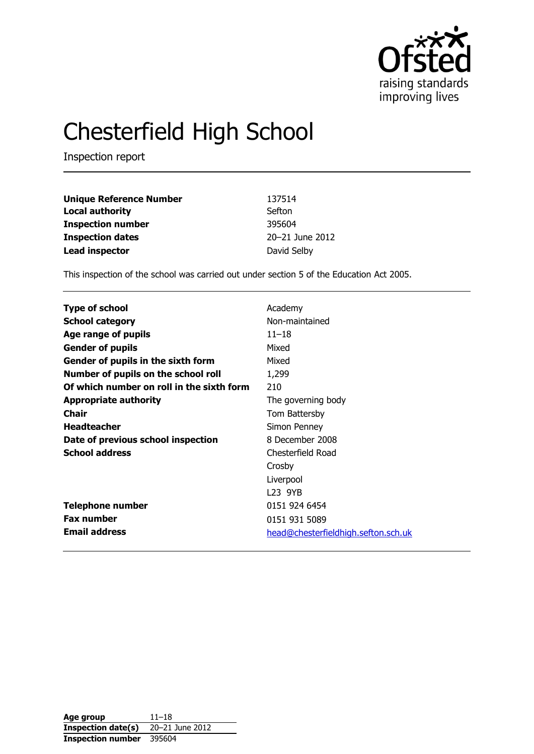

# Chesterfield High School

Inspection report

| <b>Unique Reference Number</b> | 137514          |
|--------------------------------|-----------------|
| <b>Local authority</b>         | Sefton          |
| <b>Inspection number</b>       | 395604          |
| <b>Inspection dates</b>        | 20-21 June 2012 |
| <b>Lead inspector</b>          | David Selby     |

This inspection of the school was carried out under section 5 of the Education Act 2005.

| <b>Type of school</b>                     | Academy                             |
|-------------------------------------------|-------------------------------------|
|                                           |                                     |
| <b>School category</b>                    | Non-maintained                      |
| Age range of pupils                       | $11 - 18$                           |
| <b>Gender of pupils</b>                   | Mixed                               |
| Gender of pupils in the sixth form        | Mixed                               |
| Number of pupils on the school roll       | 1,299                               |
| Of which number on roll in the sixth form | 210                                 |
| <b>Appropriate authority</b>              | The governing body                  |
| <b>Chair</b>                              | Tom Battersby                       |
| <b>Headteacher</b>                        | Simon Penney                        |
| Date of previous school inspection        | 8 December 2008                     |
| <b>School address</b>                     | Chesterfield Road                   |
|                                           | Crosby                              |
|                                           | Liverpool                           |
|                                           | L <sub>23</sub> 9YB                 |
| <b>Telephone number</b>                   | 0151 924 6454                       |
| <b>Fax number</b>                         | 0151 931 5089                       |
| <b>Email address</b>                      | head@chesterfieldhigh.sefton.sch.uk |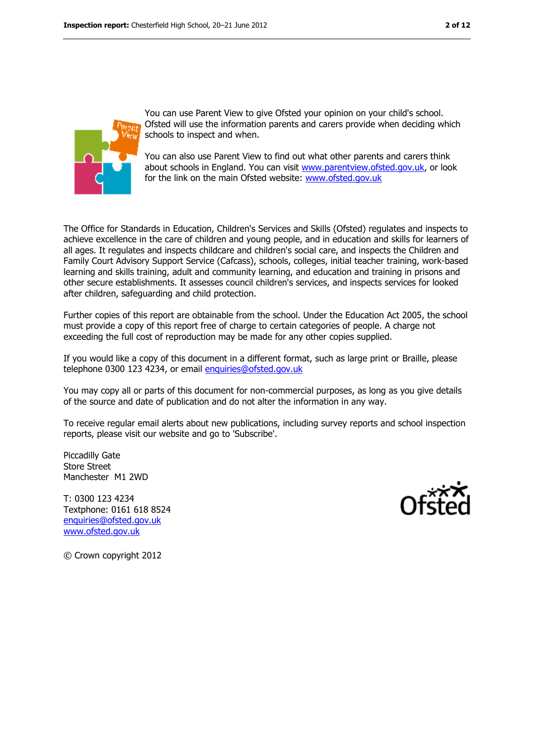

You can use Parent View to give Ofsted your opinion on your child's school. Ofsted will use the information parents and carers provide when deciding which schools to inspect and when.

You can also use Parent View to find out what other parents and carers think about schools in England. You can visit [www.parentview.ofsted.gov.uk,](../../../../../../../../../dselby/AppData/Local/Microsoft/dselby/AppData/Local/Microsoft/Windows/Temporary%20Internet%20Files/Content.IE5/461UL7RH/www.parentview.ofsted.gov.uk) or look for the link on the main Ofsted website: [www.ofsted.gov.uk](../../../../../../../../../dselby/AppData/Local/Microsoft/dselby/AppData/Local/Microsoft/Windows/Temporary%20Internet%20Files/Content.IE5/461UL7RH/www.ofsted.gov.uk)

The Office for Standards in Education, Children's Services and Skills (Ofsted) regulates and inspects to achieve excellence in the care of children and young people, and in education and skills for learners of all ages. It regulates and inspects childcare and children's social care, and inspects the Children and Family Court Advisory Support Service (Cafcass), schools, colleges, initial teacher training, work-based learning and skills training, adult and community learning, and education and training in prisons and other secure establishments. It assesses council children's services, and inspects services for looked after children, safeguarding and child protection.

Further copies of this report are obtainable from the school. Under the Education Act 2005, the school must provide a copy of this report free of charge to certain categories of people. A charge not exceeding the full cost of reproduction may be made for any other copies supplied.

If you would like a copy of this document in a different format, such as large print or Braille, please telephone 0300 123 4234, or email [enquiries@ofsted.gov.uk](mailto:enquiries@ofsted.gov.uk)

You may copy all or parts of this document for non-commercial purposes, as long as you give details of the source and date of publication and do not alter the information in any way.

To receive regular email alerts about new publications, including survey reports and school inspection reports, please visit our website and go to 'Subscribe'.

Piccadilly Gate Store Street Manchester M1 2WD

T: 0300 123 4234 Textphone: 0161 618 8524 [enquiries@ofsted.gov.uk](mailto:enquiries@ofsted.gov.uk) [www.ofsted.gov.uk](http://www.ofsted.gov.uk/)



© Crown copyright 2012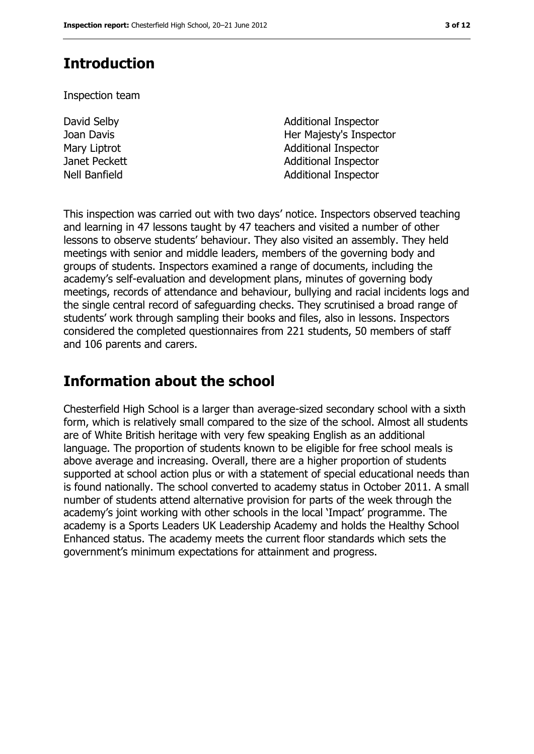### **Introduction**

Inspection team

David Selby Joan Davis

Additional Inspector Her Majesty's Inspector Mary Liptrot **Additional Inspector** Janet Peckett **Additional Inspector** Nell Banfield **Additional Inspector** 

This inspection was carried out with two days' notice. Inspectors observed teaching and learning in 47 lessons taught by 47 teachers and visited a number of other lessons to observe students' behaviour. They also visited an assembly. They held meetings with senior and middle leaders, members of the governing body and groups of students. Inspectors examined a range of documents, including the academy's self-evaluation and development plans, minutes of governing body meetings, records of attendance and behaviour, bullying and racial incidents logs and the single central record of safeguarding checks. They scrutinised a broad range of students' work through sampling their books and files, also in lessons. Inspectors considered the completed questionnaires from 221 students, 50 members of staff and 106 parents and carers.

### **Information about the school**

Chesterfield High School is a larger than average-sized secondary school with a sixth form, which is relatively small compared to the size of the school. Almost all students are of White British heritage with very few speaking English as an additional language. The proportion of students known to be eligible for free school meals is above average and increasing. Overall, there are a higher proportion of students supported at school action plus or with a statement of special educational needs than is found nationally. The school converted to academy status in October 2011. A small number of students attend alternative provision for parts of the week through the academy's joint working with other schools in the local 'Impact' programme. The academy is a Sports Leaders UK Leadership Academy and holds the Healthy School Enhanced status. The academy meets the current floor standards which sets the government's minimum expectations for attainment and progress.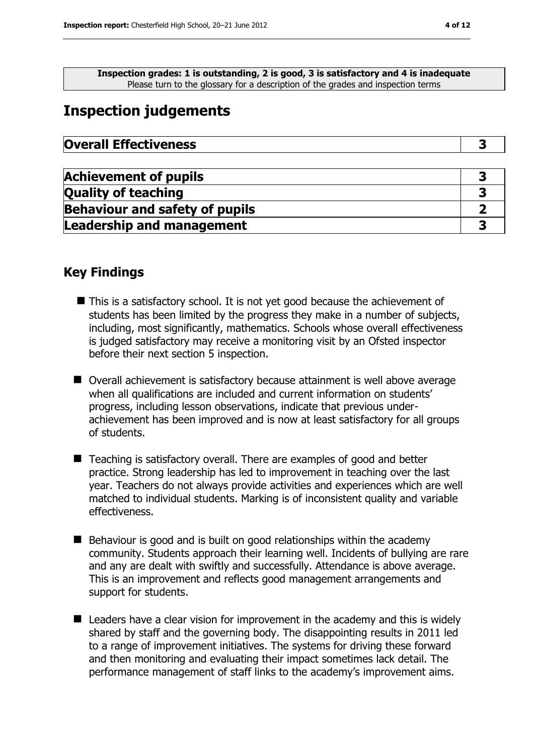**Inspection grades: 1 is outstanding, 2 is good, 3 is satisfactory and 4 is inadequate** Please turn to the glossary for a description of the grades and inspection terms

### **Inspection judgements**

| <b>Overall Effectiveness</b> |  |
|------------------------------|--|
|------------------------------|--|

| <b>Achievement of pupils</b>          |  |
|---------------------------------------|--|
| <b>Quality of teaching</b>            |  |
| <b>Behaviour and safety of pupils</b> |  |
| <b>Leadership and management</b>      |  |

#### **Key Findings**

- This is a satisfactory school. It is not yet good because the achievement of students has been limited by the progress they make in a number of subjects, including, most significantly, mathematics. Schools whose overall effectiveness is judged satisfactory may receive a monitoring visit by an Ofsted inspector before their next section 5 inspection.
- Overall achievement is satisfactory because attainment is well above average when all qualifications are included and current information on students' progress, including lesson observations, indicate that previous underachievement has been improved and is now at least satisfactory for all groups of students.
- Teaching is satisfactory overall. There are examples of good and better practice. Strong leadership has led to improvement in teaching over the last year. Teachers do not always provide activities and experiences which are well matched to individual students. Marking is of inconsistent quality and variable effectiveness.
- $\blacksquare$  Behaviour is good and is built on good relationships within the academy community. Students approach their learning well. Incidents of bullying are rare and any are dealt with swiftly and successfully. Attendance is above average. This is an improvement and reflects good management arrangements and support for students.
- Leaders have a clear vision for improvement in the academy and this is widely shared by staff and the governing body. The disappointing results in 2011 led to a range of improvement initiatives. The systems for driving these forward and then monitoring and evaluating their impact sometimes lack detail. The performance management of staff links to the academy's improvement aims.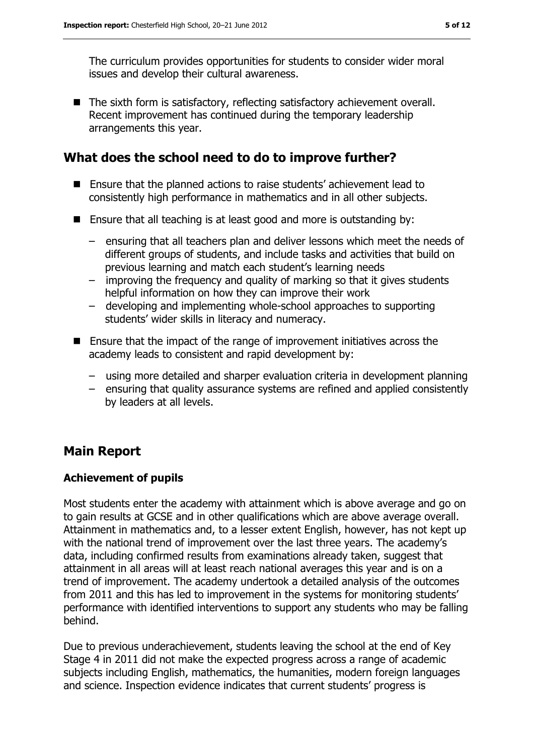The curriculum provides opportunities for students to consider wider moral issues and develop their cultural awareness.

■ The sixth form is satisfactory, reflecting satisfactory achievement overall. Recent improvement has continued during the temporary leadership arrangements this year.

### **What does the school need to do to improve further?**

- Ensure that the planned actions to raise students' achievement lead to consistently high performance in mathematics and in all other subjects.
- Ensure that all teaching is at least good and more is outstanding by:
	- ensuring that all teachers plan and deliver lessons which meet the needs of different groups of students, and include tasks and activities that build on previous learning and match each student's learning needs
	- improving the frequency and quality of marking so that it gives students helpful information on how they can improve their work
	- developing and implementing whole-school approaches to supporting students' wider skills in literacy and numeracy.
- Ensure that the impact of the range of improvement initiatives across the academy leads to consistent and rapid development by:
	- using more detailed and sharper evaluation criteria in development planning
	- ensuring that quality assurance systems are refined and applied consistently by leaders at all levels.

### **Main Report**

#### **Achievement of pupils**

Most students enter the academy with attainment which is above average and go on to gain results at GCSE and in other qualifications which are above average overall. Attainment in mathematics and, to a lesser extent English, however, has not kept up with the national trend of improvement over the last three years. The academy's data, including confirmed results from examinations already taken, suggest that attainment in all areas will at least reach national averages this year and is on a trend of improvement. The academy undertook a detailed analysis of the outcomes from 2011 and this has led to improvement in the systems for monitoring students' performance with identified interventions to support any students who may be falling behind.

Due to previous underachievement, students leaving the school at the end of Key Stage 4 in 2011 did not make the expected progress across a range of academic subjects including English, mathematics, the humanities, modern foreign languages and science. Inspection evidence indicates that current students' progress is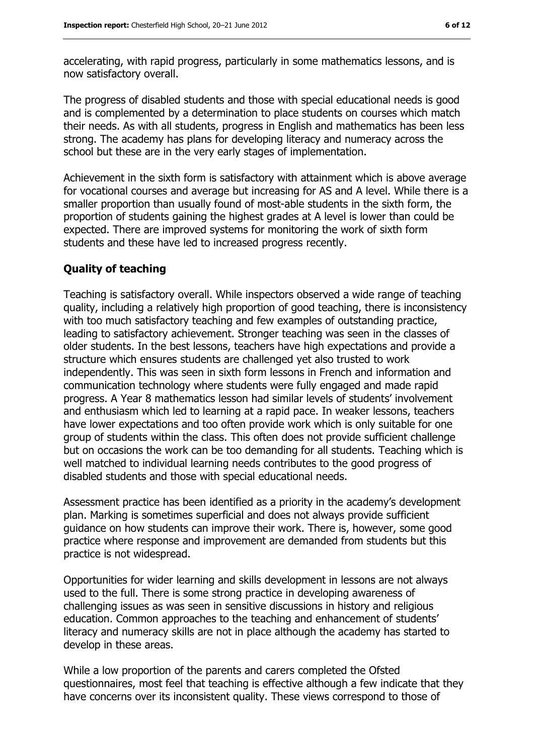accelerating, with rapid progress, particularly in some mathematics lessons, and is now satisfactory overall.

The progress of disabled students and those with special educational needs is good and is complemented by a determination to place students on courses which match their needs. As with all students, progress in English and mathematics has been less strong. The academy has plans for developing literacy and numeracy across the school but these are in the very early stages of implementation.

Achievement in the sixth form is satisfactory with attainment which is above average for vocational courses and average but increasing for AS and A level. While there is a smaller proportion than usually found of most-able students in the sixth form, the proportion of students gaining the highest grades at A level is lower than could be expected. There are improved systems for monitoring the work of sixth form students and these have led to increased progress recently.

#### **Quality of teaching**

Teaching is satisfactory overall. While inspectors observed a wide range of teaching quality, including a relatively high proportion of good teaching, there is inconsistency with too much satisfactory teaching and few examples of outstanding practice, leading to satisfactory achievement. Stronger teaching was seen in the classes of older students. In the best lessons, teachers have high expectations and provide a structure which ensures students are challenged yet also trusted to work independently. This was seen in sixth form lessons in French and information and communication technology where students were fully engaged and made rapid progress. A Year 8 mathematics lesson had similar levels of students' involvement and enthusiasm which led to learning at a rapid pace. In weaker lessons, teachers have lower expectations and too often provide work which is only suitable for one group of students within the class. This often does not provide sufficient challenge but on occasions the work can be too demanding for all students. Teaching which is well matched to individual learning needs contributes to the good progress of disabled students and those with special educational needs.

Assessment practice has been identified as a priority in the academy's development plan. Marking is sometimes superficial and does not always provide sufficient guidance on how students can improve their work. There is, however, some good practice where response and improvement are demanded from students but this practice is not widespread.

Opportunities for wider learning and skills development in lessons are not always used to the full. There is some strong practice in developing awareness of challenging issues as was seen in sensitive discussions in history and religious education. Common approaches to the teaching and enhancement of students' literacy and numeracy skills are not in place although the academy has started to develop in these areas.

While a low proportion of the parents and carers completed the Ofsted questionnaires, most feel that teaching is effective although a few indicate that they have concerns over its inconsistent quality. These views correspond to those of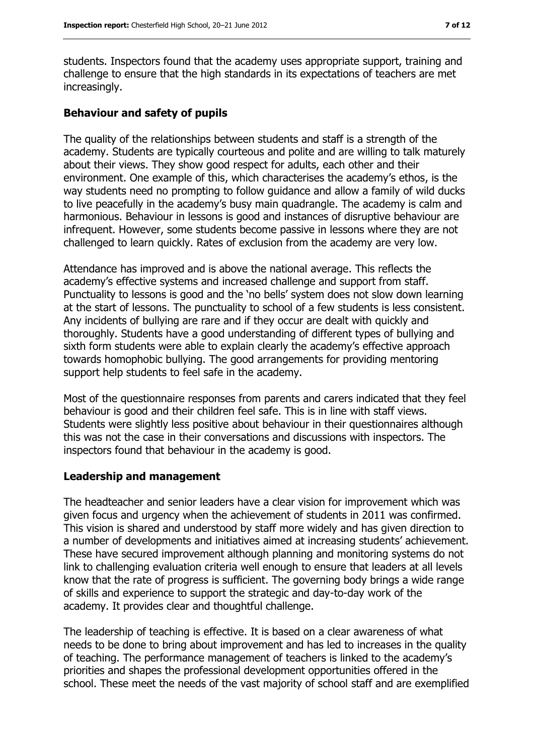students. Inspectors found that the academy uses appropriate support, training and challenge to ensure that the high standards in its expectations of teachers are met increasingly.

#### **Behaviour and safety of pupils**

The quality of the relationships between students and staff is a strength of the academy. Students are typically courteous and polite and are willing to talk maturely about their views. They show good respect for adults, each other and their environment. One example of this, which characterises the academy's ethos, is the way students need no prompting to follow guidance and allow a family of wild ducks to live peacefully in the academy's busy main quadrangle. The academy is calm and harmonious. Behaviour in lessons is good and instances of disruptive behaviour are infrequent. However, some students become passive in lessons where they are not challenged to learn quickly. Rates of exclusion from the academy are very low.

Attendance has improved and is above the national average. This reflects the academy's effective systems and increased challenge and support from staff. Punctuality to lessons is good and the 'no bells' system does not slow down learning at the start of lessons. The punctuality to school of a few students is less consistent. Any incidents of bullying are rare and if they occur are dealt with quickly and thoroughly. Students have a good understanding of different types of bullying and sixth form students were able to explain clearly the academy's effective approach towards homophobic bullying. The good arrangements for providing mentoring support help students to feel safe in the academy.

Most of the questionnaire responses from parents and carers indicated that they feel behaviour is good and their children feel safe. This is in line with staff views. Students were slightly less positive about behaviour in their questionnaires although this was not the case in their conversations and discussions with inspectors. The inspectors found that behaviour in the academy is good.

#### **Leadership and management**

The headteacher and senior leaders have a clear vision for improvement which was given focus and urgency when the achievement of students in 2011 was confirmed. This vision is shared and understood by staff more widely and has given direction to a number of developments and initiatives aimed at increasing students' achievement. These have secured improvement although planning and monitoring systems do not link to challenging evaluation criteria well enough to ensure that leaders at all levels know that the rate of progress is sufficient. The governing body brings a wide range of skills and experience to support the strategic and day-to-day work of the academy. It provides clear and thoughtful challenge.

The leadership of teaching is effective. It is based on a clear awareness of what needs to be done to bring about improvement and has led to increases in the quality of teaching. The performance management of teachers is linked to the academy's priorities and shapes the professional development opportunities offered in the school. These meet the needs of the vast majority of school staff and are exemplified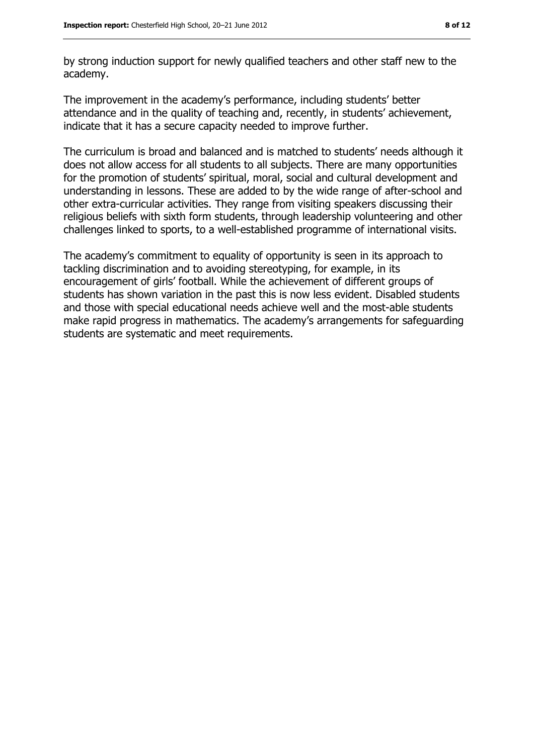by strong induction support for newly qualified teachers and other staff new to the academy.

The improvement in the academy's performance, including students' better attendance and in the quality of teaching and, recently, in students' achievement, indicate that it has a secure capacity needed to improve further.

The curriculum is broad and balanced and is matched to students' needs although it does not allow access for all students to all subjects. There are many opportunities for the promotion of students' spiritual, moral, social and cultural development and understanding in lessons. These are added to by the wide range of after-school and other extra-curricular activities. They range from visiting speakers discussing their religious beliefs with sixth form students, through leadership volunteering and other challenges linked to sports, to a well-established programme of international visits.

The academy's commitment to equality of opportunity is seen in its approach to tackling discrimination and to avoiding stereotyping, for example, in its encouragement of girls' football. While the achievement of different groups of students has shown variation in the past this is now less evident. Disabled students and those with special educational needs achieve well and the most-able students make rapid progress in mathematics. The academy's arrangements for safeguarding students are systematic and meet requirements.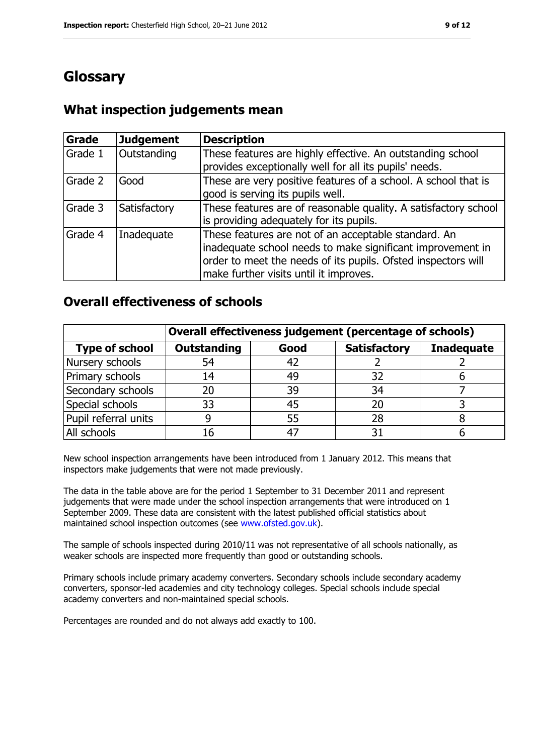### **Glossary**

### **What inspection judgements mean**

| Grade   | <b>Judgement</b> | <b>Description</b>                                                                                                                                                                                                            |
|---------|------------------|-------------------------------------------------------------------------------------------------------------------------------------------------------------------------------------------------------------------------------|
| Grade 1 | Outstanding      | These features are highly effective. An outstanding school<br>provides exceptionally well for all its pupils' needs.                                                                                                          |
| Grade 2 | Good             | These are very positive features of a school. A school that is<br>good is serving its pupils well.                                                                                                                            |
| Grade 3 | Satisfactory     | These features are of reasonable quality. A satisfactory school<br>is providing adequately for its pupils.                                                                                                                    |
| Grade 4 | Inadequate       | These features are not of an acceptable standard. An<br>inadequate school needs to make significant improvement in<br>order to meet the needs of its pupils. Ofsted inspectors will<br>make further visits until it improves. |

#### **Overall effectiveness of schools**

|                       | Overall effectiveness judgement (percentage of schools) |      |                     |                   |
|-----------------------|---------------------------------------------------------|------|---------------------|-------------------|
| <b>Type of school</b> | <b>Outstanding</b>                                      | Good | <b>Satisfactory</b> | <b>Inadequate</b> |
| Nursery schools       | 54                                                      | 42   |                     |                   |
| Primary schools       | 14                                                      | 49   | 32                  |                   |
| Secondary schools     | 20                                                      | 39   | 34                  |                   |
| Special schools       | 33                                                      | 45   | 20                  |                   |
| Pupil referral units  | g                                                       | 55   | 28                  |                   |
| All schools           | 16                                                      |      |                     |                   |

New school inspection arrangements have been introduced from 1 January 2012. This means that inspectors make judgements that were not made previously.

The data in the table above are for the period 1 September to 31 December 2011 and represent judgements that were made under the school inspection arrangements that were introduced on 1 September 2009. These data are consistent with the latest published official statistics about maintained school inspection outcomes (see [www.ofsted.gov.uk\)](../../../../../../../../../dselby/AppData/Local/Microsoft/dselby/AppData/Local/Microsoft/Windows/Temporary%20Internet%20Files/Content.IE5/461UL7RH/www.ofsted.gov.uk).

The sample of schools inspected during 2010/11 was not representative of all schools nationally, as weaker schools are inspected more frequently than good or outstanding schools.

Primary schools include primary academy converters. Secondary schools include secondary academy converters, sponsor-led academies and city technology colleges. Special schools include special academy converters and non-maintained special schools.

Percentages are rounded and do not always add exactly to 100.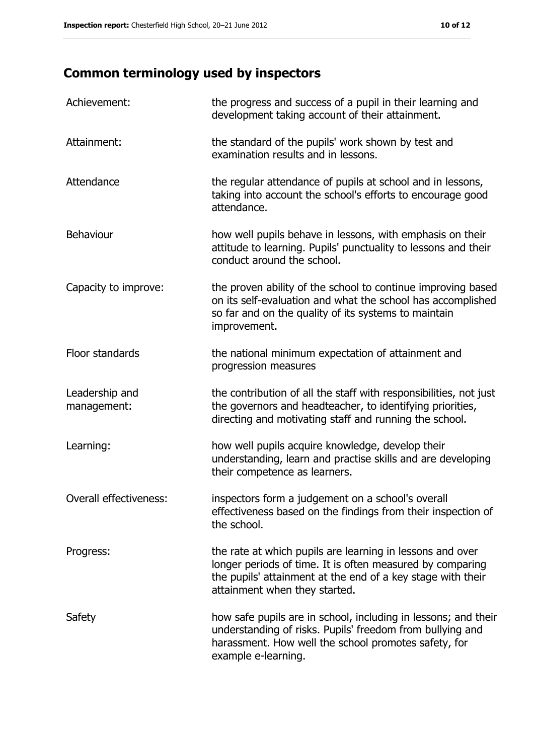## **Common terminology used by inspectors**

| Achievement:                  | the progress and success of a pupil in their learning and<br>development taking account of their attainment.                                                                                                           |
|-------------------------------|------------------------------------------------------------------------------------------------------------------------------------------------------------------------------------------------------------------------|
| Attainment:                   | the standard of the pupils' work shown by test and<br>examination results and in lessons.                                                                                                                              |
| Attendance                    | the regular attendance of pupils at school and in lessons,<br>taking into account the school's efforts to encourage good<br>attendance.                                                                                |
| <b>Behaviour</b>              | how well pupils behave in lessons, with emphasis on their<br>attitude to learning. Pupils' punctuality to lessons and their<br>conduct around the school.                                                              |
| Capacity to improve:          | the proven ability of the school to continue improving based<br>on its self-evaluation and what the school has accomplished<br>so far and on the quality of its systems to maintain<br>improvement.                    |
| Floor standards               | the national minimum expectation of attainment and<br>progression measures                                                                                                                                             |
| Leadership and<br>management: | the contribution of all the staff with responsibilities, not just<br>the governors and headteacher, to identifying priorities,<br>directing and motivating staff and running the school.                               |
| Learning:                     | how well pupils acquire knowledge, develop their<br>understanding, learn and practise skills and are developing<br>their competence as learners.                                                                       |
| Overall effectiveness:        | inspectors form a judgement on a school's overall<br>effectiveness based on the findings from their inspection of<br>the school.                                                                                       |
| Progress:                     | the rate at which pupils are learning in lessons and over<br>longer periods of time. It is often measured by comparing<br>the pupils' attainment at the end of a key stage with their<br>attainment when they started. |
| Safety                        | how safe pupils are in school, including in lessons; and their<br>understanding of risks. Pupils' freedom from bullying and<br>harassment. How well the school promotes safety, for<br>example e-learning.             |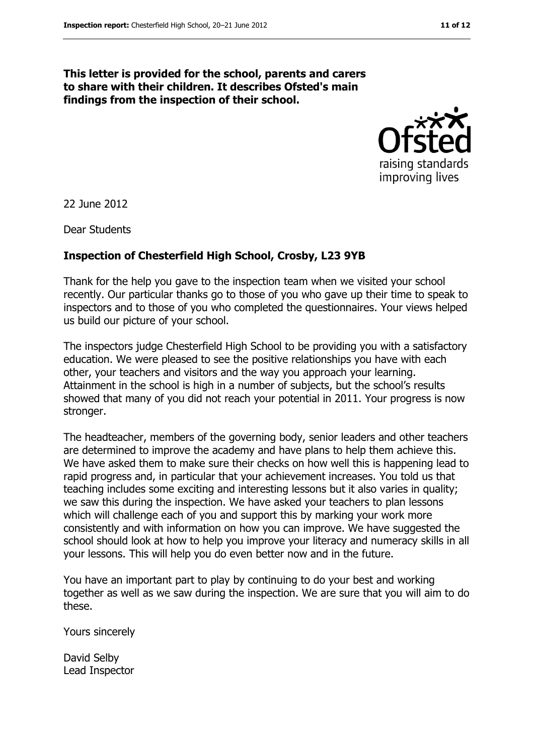#### **This letter is provided for the school, parents and carers to share with their children. It describes Ofsted's main findings from the inspection of their school.**



22 June 2012

Dear Students

#### **Inspection of Chesterfield High School, Crosby, L23 9YB**

Thank for the help you gave to the inspection team when we visited your school recently. Our particular thanks go to those of you who gave up their time to speak to inspectors and to those of you who completed the questionnaires. Your views helped us build our picture of your school.

The inspectors judge Chesterfield High School to be providing you with a satisfactory education. We were pleased to see the positive relationships you have with each other, your teachers and visitors and the way you approach your learning. Attainment in the school is high in a number of subjects, but the school's results showed that many of you did not reach your potential in 2011. Your progress is now stronger.

The headteacher, members of the governing body, senior leaders and other teachers are determined to improve the academy and have plans to help them achieve this. We have asked them to make sure their checks on how well this is happening lead to rapid progress and, in particular that your achievement increases. You told us that teaching includes some exciting and interesting lessons but it also varies in quality; we saw this during the inspection. We have asked your teachers to plan lessons which will challenge each of you and support this by marking your work more consistently and with information on how you can improve. We have suggested the school should look at how to help you improve your literacy and numeracy skills in all your lessons. This will help you do even better now and in the future.

You have an important part to play by continuing to do your best and working together as well as we saw during the inspection. We are sure that you will aim to do these.

Yours sincerely

David Selby Lead Inspector